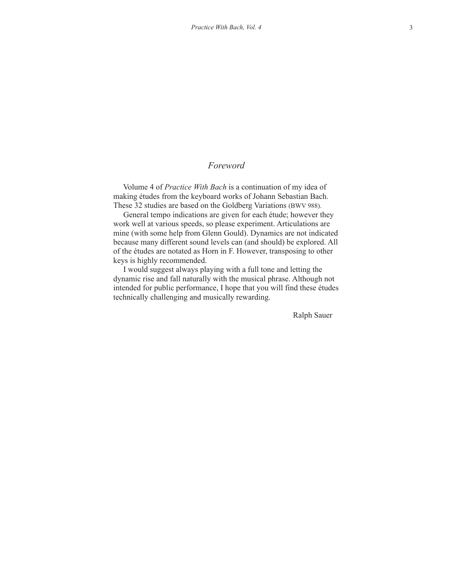## *Foreword*

 Volume 4 of *Practice With Bach* is a continuation of my idea of making études from the keyboard works of Johann Sebastian Bach. These 32 studies are based on the Goldberg Variations (BWV 988).

 General tempo indications are given for each étude; however they work well at various speeds, so please experiment. Articulations are mine (with some help from Glenn Gould). Dynamics are not indicated because many different sound levels can (and should) be explored. All of the études are notated as Horn in F. However, transposing to other keys is highly recommended.

 I would suggest always playing with a full tone and letting the dynamic rise and fall naturally with the musical phrase. Although not intended for public performance, I hope that you will find these études technically challenging and musically rewarding.

Ralph Sauer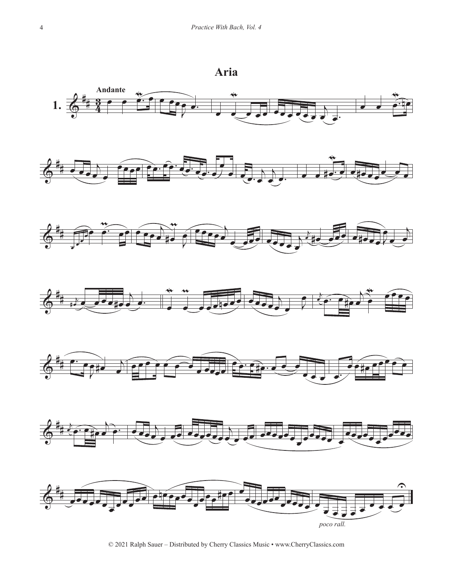## **Aria**



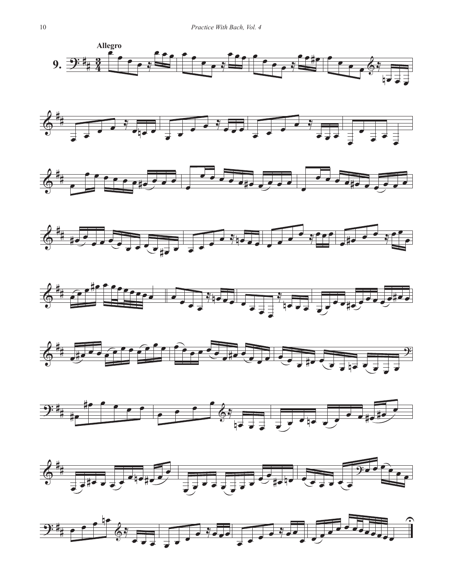



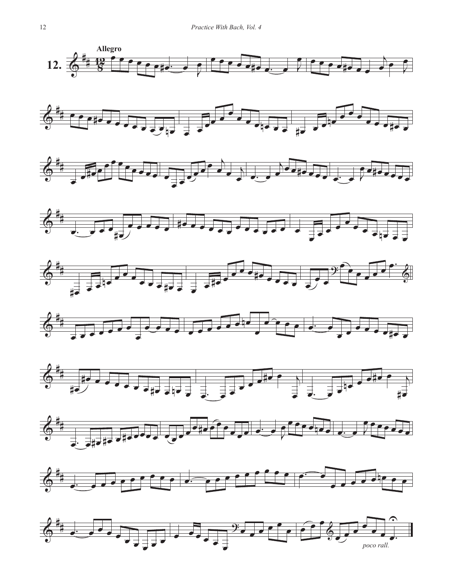